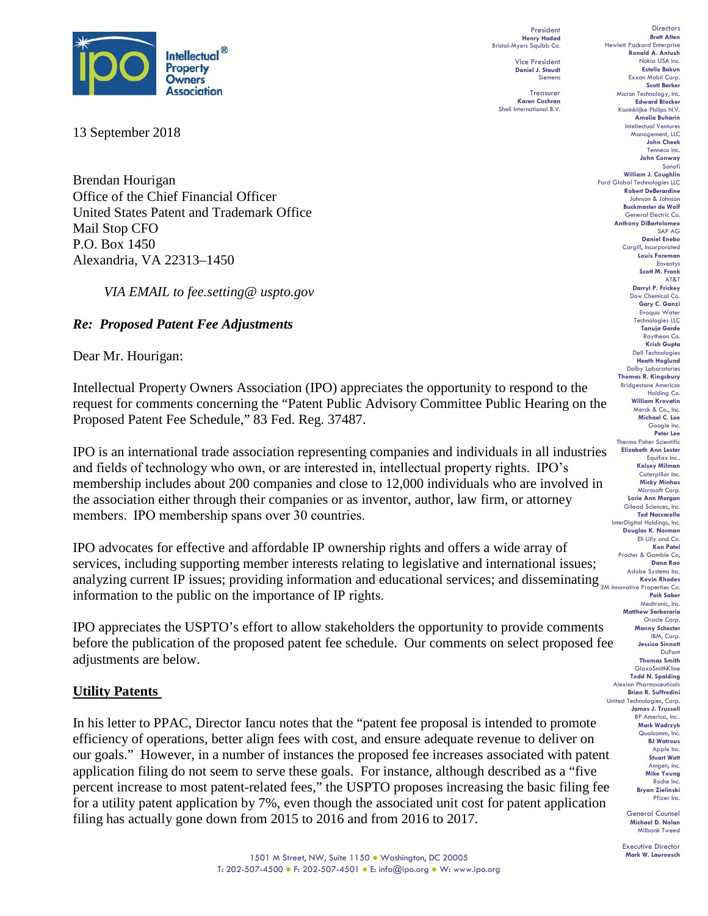

13 September 2018

Brendan Hourigan Office of the Chief Financial Officer United States Patent and Trademark Office Mail Stop CFO P.O. Box 1450 Alexandria, VA 22313–1450

*VIA EMAIL to fee.setting@ uspto.gov*

# *Re: Proposed Patent Fee Adjustments*

Dear Mr. Hourigan:

Intellectual Property Owners Association (IPO) appreciates the opportunity to respond to the request for comments concerning the "Patent Public Advisory Committee Public Hearing on the Proposed Patent Fee Schedule," 83 Fed. Reg. 37487.

IPO is an international trade association representing companies and individuals in all industries and fields of technology who own, or are interested in, intellectual property rights.  IPO's membership includes about 200 companies and close to 12,000 individuals who are involved in the association either through their companies or as inventor, author, law firm, or attorney members.  IPO membership spans over 30 countries.

analyzing current IP issues; providing information and educational services; and disseminating **Kevin Rhodes** Co. IPO advocates for effective and affordable IP ownership rights and offers a wide array of services, including supporting member interests relating to legislative and international issues; information to the public on the importance of IP rights. 

IPO appreciates the USPTO's effort to allow stakeholders the opportunity to provide comments before the publication of the proposed patent fee schedule. Our comments on select proposed fee adjustments are below.

### **Utility Patents**

In his letter to PPAC, Director Iancu notes that the "patent fee proposal is intended to promote efficiency of operations, better align fees with cost, and ensure adequate revenue to deliver on our goals." However, in a number of instances the proposed fee increases associated with patent application filing do not seem to serve these goals. For instance, although described as a "five percent increase to most patent-related fees," the USPTO proposes increasing the basic filing fee for a utility patent application by 7%, even though the associated unit cost for patent application filing has actually gone down from 2015 to 2016 and from 2016 to 2017.

President **Henry Hadad** Bristol-Myers Squibb Co. Vice President **Daniel J. Staudt** Siemens

**Treasurer Karen Cochran** Shell International B.V.

**Directors Brett Alten** Hewlett Packard Enterprise **Ronald A. Antush** Nokia USA Inc. **Estelle Bakun** Exxon Mobil Corp. **Scott Barker** Micron Technology, Inc. **Edward Blocker** Koninklijke Philips N.V. **Amelia Buharin** Intellectual Ventures Management, LLC **John Cheek** Tenneco Inc. **John Conway** Sanofi **William J. Coughlin** Ford Global Technologies LLC **Robert DeBerardine** Johnson & Johnson **Buckmaster de Wolf** General Electric Co. **Anthony DiBartolomeo** SAP AG **Daniel Enebo** Cargill, Incorporated **Louis Foreman** Enventys **Scott M. Frank** AT&T **Darryl P. Frickey** Dow Chemical Co. **Gary C. Ganzi** Evoqua Water Technologies LLC **Tanuja Garde** Raytheon Co. **Krish Gupta** Dell Technologies **Heath Hoglund** Dolby Laboratories **Thomas R. Kingsbury** Bridgestone Americas Holding Co. **William Krovatin** Merck & Co., Inc. **Michael C. Lee** Google Inc. **Peter Lee** Thermo Fisher Scientific **Elizabeth Ann Lester** Equifax Inc.. **Kelsey Milman** Caterpillar Inc. **Micky Minhas** Microsoft Corp. **Lorie Ann Morgan** Gilead Sciences, Inc. **Ted Naccarella** InterDigital Holdings, Inc. **Douglas K. Norman** Eli Lilly and Co. **Ken Patel** Procter & Gamble Co, **Dana Rao** Adobe Systems Inc. **Paik Saber** Medtronic, Inc. **Matthew Sarboraria** Oracle Corp. **Manny Schecter** IBM, Corp. **Jessica Sinnott** DuPont **Thomas Smith** GlaxoSmithKline **Todd N. Spalding** Alexion Pharmaceuticals **Brian R. Suffredini** United Technologies, Corp. **James J. Trussell** BP America, Inc.. **Mark Wadrzyk** Qualcomm, Inc. **BJ Watrous** Apple Inc. **Stuart Watt** Amgen, Inc. **Mike Young** Roche Inc. **Bryan Zielinski** Pfizer Inc.

General Counsel **Michael D. Nolan** Milbank Tweed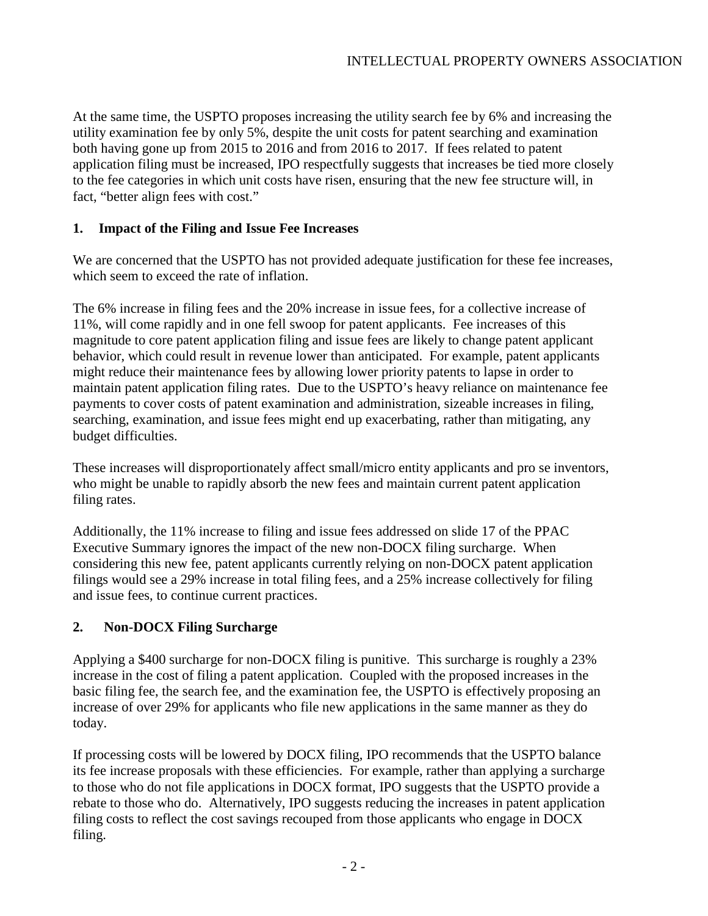At the same time, the USPTO proposes increasing the utility search fee by 6% and increasing the utility examination fee by only 5%, despite the unit costs for patent searching and examination both having gone up from 2015 to 2016 and from 2016 to 2017. If fees related to patent application filing must be increased, IPO respectfully suggests that increases be tied more closely to the fee categories in which unit costs have risen, ensuring that the new fee structure will, in fact, "better align fees with cost."

# **1. Impact of the Filing and Issue Fee Increases**

We are concerned that the USPTO has not provided adequate justification for these fee increases, which seem to exceed the rate of inflation.

The 6% increase in filing fees and the 20% increase in issue fees, for a collective increase of 11%, will come rapidly and in one fell swoop for patent applicants. Fee increases of this magnitude to core patent application filing and issue fees are likely to change patent applicant behavior, which could result in revenue lower than anticipated. For example, patent applicants might reduce their maintenance fees by allowing lower priority patents to lapse in order to maintain patent application filing rates. Due to the USPTO's heavy reliance on maintenance fee payments to cover costs of patent examination and administration, sizeable increases in filing, searching, examination, and issue fees might end up exacerbating, rather than mitigating, any budget difficulties.

These increases will disproportionately affect small/micro entity applicants and pro se inventors, who might be unable to rapidly absorb the new fees and maintain current patent application filing rates.

Additionally, the 11% increase to filing and issue fees addressed on slide 17 of the PPAC Executive Summary ignores the impact of the new non-DOCX filing surcharge. When considering this new fee, patent applicants currently relying on non-DOCX patent application filings would see a 29% increase in total filing fees, and a 25% increase collectively for filing and issue fees, to continue current practices.

# **2. Non-DOCX Filing Surcharge**

Applying a \$400 surcharge for non-DOCX filing is punitive. This surcharge is roughly a 23% increase in the cost of filing a patent application. Coupled with the proposed increases in the basic filing fee, the search fee, and the examination fee, the USPTO is effectively proposing an increase of over 29% for applicants who file new applications in the same manner as they do today.

If processing costs will be lowered by DOCX filing, IPO recommends that the USPTO balance its fee increase proposals with these efficiencies. For example, rather than applying a surcharge to those who do not file applications in DOCX format, IPO suggests that the USPTO provide a rebate to those who do. Alternatively, IPO suggests reducing the increases in patent application filing costs to reflect the cost savings recouped from those applicants who engage in DOCX filing.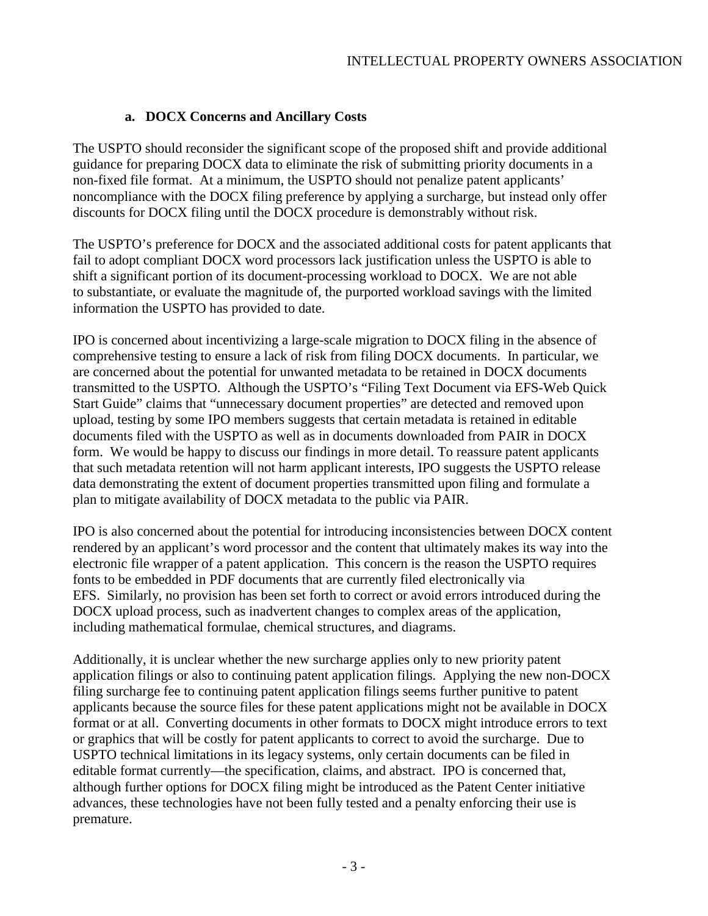# **a. DOCX Concerns and Ancillary Costs**

The USPTO should reconsider the significant scope of the proposed shift and provide additional guidance for preparing DOCX data to eliminate the risk of submitting priority documents in a non-fixed file format. At a minimum, the USPTO should not penalize patent applicants' noncompliance with the DOCX filing preference by applying a surcharge, but instead only offer discounts for DOCX filing until the DOCX procedure is demonstrably without risk.

The USPTO's preference for DOCX and the associated additional costs for patent applicants that fail to adopt compliant DOCX word processors lack justification unless the USPTO is able to shift a significant portion of its document-processing workload to DOCX. We are not able to substantiate, or evaluate the magnitude of, the purported workload savings with the limited information the USPTO has provided to date.

IPO is concerned about incentivizing a large-scale migration to DOCX filing in the absence of comprehensive testing to ensure a lack of risk from filing DOCX documents. In particular, we are concerned about the potential for unwanted metadata to be retained in DOCX documents transmitted to the USPTO. Although the USPTO's "Filing Text Document via EFS-Web Quick Start Guide" claims that "unnecessary document properties" are detected and removed upon upload, testing by some IPO members suggests that certain metadata is retained in editable documents filed with the USPTO as well as in documents downloaded from PAIR in DOCX form. We would be happy to discuss our findings in more detail. To reassure patent applicants that such metadata retention will not harm applicant interests, IPO suggests the USPTO release data demonstrating the extent of document properties transmitted upon filing and formulate a plan to mitigate availability of DOCX metadata to the public via PAIR.

IPO is also concerned about the potential for introducing inconsistencies between DOCX content rendered by an applicant's word processor and the content that ultimately makes its way into the electronic file wrapper of a patent application. This concern is the reason the USPTO requires fonts to be embedded in PDF documents that are currently filed electronically via EFS. Similarly, no provision has been set forth to correct or avoid errors introduced during the DOCX upload process, such as inadvertent changes to complex areas of the application, including mathematical formulae, chemical structures, and diagrams.

Additionally, it is unclear whether the new surcharge applies only to new priority patent application filings or also to continuing patent application filings. Applying the new non-DOCX filing surcharge fee to continuing patent application filings seems further punitive to patent applicants because the source files for these patent applications might not be available in DOCX format or at all. Converting documents in other formats to DOCX might introduce errors to text or graphics that will be costly for patent applicants to correct to avoid the surcharge. Due to USPTO technical limitations in its legacy systems, only certain documents can be filed in editable format currently—the specification, claims, and abstract. IPO is concerned that, although further options for DOCX filing might be introduced as the Patent Center initiative advances, these technologies have not been fully tested and a penalty enforcing their use is premature.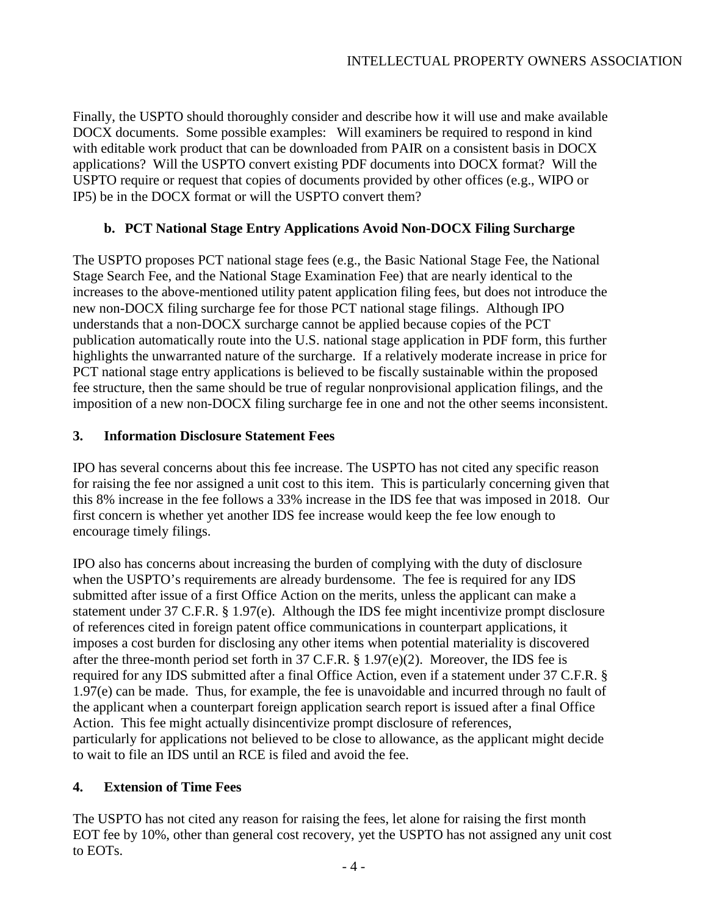Finally, the USPTO should thoroughly consider and describe how it will use and make available DOCX documents. Some possible examples: Will examiners be required to respond in kind with editable work product that can be downloaded from PAIR on a consistent basis in DOCX applications? Will the USPTO convert existing PDF documents into DOCX format? Will the USPTO require or request that copies of documents provided by other offices (e.g., WIPO or IP5) be in the DOCX format or will the USPTO convert them?

# **b. PCT National Stage Entry Applications Avoid Non-DOCX Filing Surcharge**

The USPTO proposes PCT national stage fees (e.g., the Basic National Stage Fee, the National Stage Search Fee, and the National Stage Examination Fee) that are nearly identical to the increases to the above-mentioned utility patent application filing fees, but does not introduce the new non-DOCX filing surcharge fee for those PCT national stage filings. Although IPO understands that a non-DOCX surcharge cannot be applied because copies of the PCT publication automatically route into the U.S. national stage application in PDF form, this further highlights the unwarranted nature of the surcharge. If a relatively moderate increase in price for PCT national stage entry applications is believed to be fiscally sustainable within the proposed fee structure, then the same should be true of regular nonprovisional application filings, and the imposition of a new non-DOCX filing surcharge fee in one and not the other seems inconsistent.

# **3. Information Disclosure Statement Fees**

IPO has several concerns about this fee increase. The USPTO has not cited any specific reason for raising the fee nor assigned a unit cost to this item. This is particularly concerning given that this 8% increase in the fee follows a 33% increase in the IDS fee that was imposed in 2018. Our first concern is whether yet another IDS fee increase would keep the fee low enough to encourage timely filings.

IPO also has concerns about increasing the burden of complying with the duty of disclosure when the USPTO's requirements are already burdensome. The fee is required for any IDS submitted after issue of a first Office Action on the merits, unless the applicant can make a statement under 37 C.F.R. § 1.97(e). Although the IDS fee might incentivize prompt disclosure of references cited in foreign patent office communications in counterpart applications, it imposes a cost burden for disclosing any other items when potential materiality is discovered after the three-month period set forth in 37 C.F.R.  $\S 1.97(e)(2)$ . Moreover, the IDS fee is required for any IDS submitted after a final Office Action, even if a statement under 37 C.F.R. § 1.97(e) can be made. Thus, for example, the fee is unavoidable and incurred through no fault of the applicant when a counterpart foreign application search report is issued after a final Office Action. This fee might actually disincentivize prompt disclosure of references, particularly for applications not believed to be close to allowance, as the applicant might decide to wait to file an IDS until an RCE is filed and avoid the fee.

# **4. Extension of Time Fees**

The USPTO has not cited any reason for raising the fees, let alone for raising the first month EOT fee by 10%, other than general cost recovery, yet the USPTO has not assigned any unit cost to EOTs.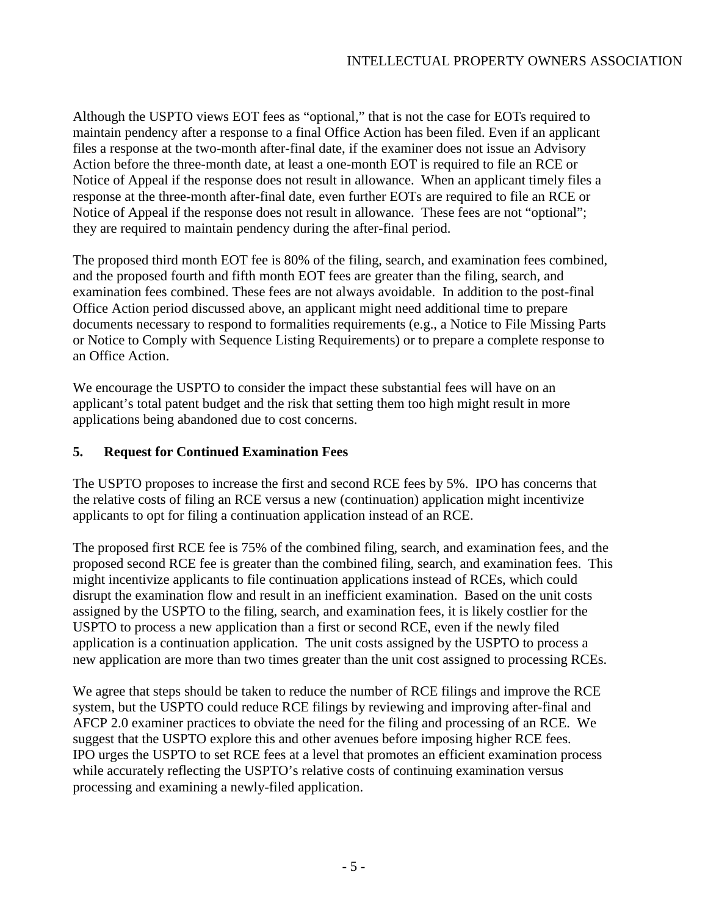Although the USPTO views EOT fees as "optional," that is not the case for EOTs required to maintain pendency after a response to a final Office Action has been filed. Even if an applicant files a response at the two-month after-final date, if the examiner does not issue an Advisory Action before the three-month date, at least a one-month EOT is required to file an RCE or Notice of Appeal if the response does not result in allowance. When an applicant timely files a response at the three-month after-final date, even further EOTs are required to file an RCE or Notice of Appeal if the response does not result in allowance. These fees are not "optional"; they are required to maintain pendency during the after-final period.

The proposed third month EOT fee is 80% of the filing, search, and examination fees combined, and the proposed fourth and fifth month EOT fees are greater than the filing, search, and examination fees combined. These fees are not always avoidable. In addition to the post-final Office Action period discussed above, an applicant might need additional time to prepare documents necessary to respond to formalities requirements (e.g., a Notice to File Missing Parts or Notice to Comply with Sequence Listing Requirements) or to prepare a complete response to an Office Action.

We encourage the USPTO to consider the impact these substantial fees will have on an applicant's total patent budget and the risk that setting them too high might result in more applications being abandoned due to cost concerns.

### **5. Request for Continued Examination Fees**

The USPTO proposes to increase the first and second RCE fees by 5%. IPO has concerns that the relative costs of filing an RCE versus a new (continuation) application might incentivize applicants to opt for filing a continuation application instead of an RCE.

The proposed first RCE fee is 75% of the combined filing, search, and examination fees, and the proposed second RCE fee is greater than the combined filing, search, and examination fees. This might incentivize applicants to file continuation applications instead of RCEs, which could disrupt the examination flow and result in an inefficient examination. Based on the unit costs assigned by the USPTO to the filing, search, and examination fees, it is likely costlier for the USPTO to process a new application than a first or second RCE, even if the newly filed application is a continuation application. The unit costs assigned by the USPTO to process a new application are more than two times greater than the unit cost assigned to processing RCEs.

We agree that steps should be taken to reduce the number of RCE filings and improve the RCE system, but the USPTO could reduce RCE filings by reviewing and improving after-final and AFCP 2.0 examiner practices to obviate the need for the filing and processing of an RCE. We suggest that the USPTO explore this and other avenues before imposing higher RCE fees. IPO urges the USPTO to set RCE fees at a level that promotes an efficient examination process while accurately reflecting the USPTO's relative costs of continuing examination versus processing and examining a newly-filed application.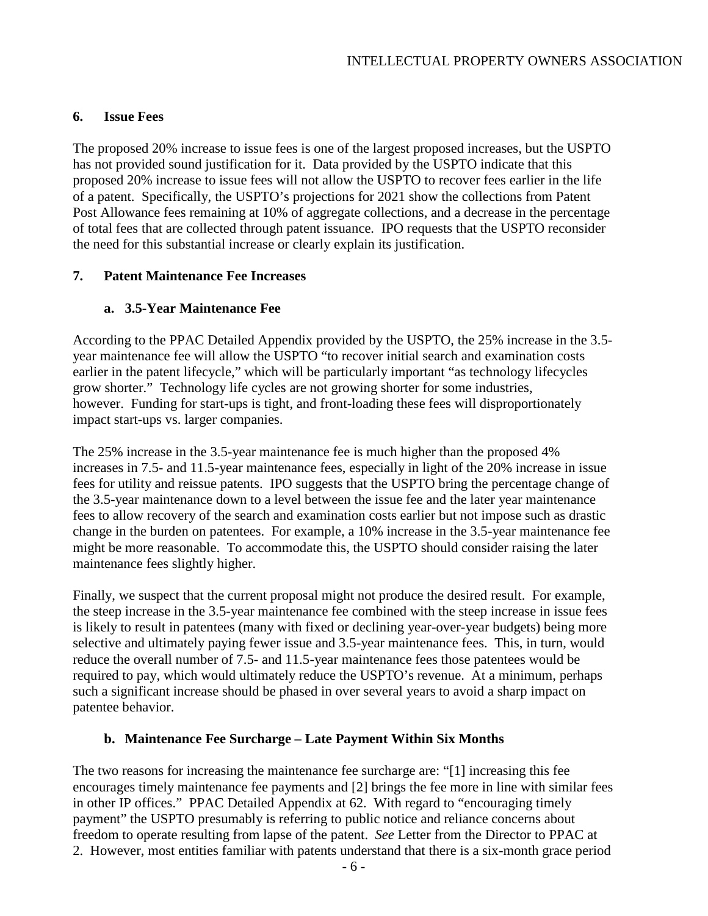### **6. Issue Fees**

The proposed 20% increase to issue fees is one of the largest proposed increases, but the USPTO has not provided sound justification for it. Data provided by the USPTO indicate that this proposed 20% increase to issue fees will not allow the USPTO to recover fees earlier in the life of a patent. Specifically, the USPTO's projections for 2021 show the collections from Patent Post Allowance fees remaining at 10% of aggregate collections, and a decrease in the percentage of total fees that are collected through patent issuance. IPO requests that the USPTO reconsider the need for this substantial increase or clearly explain its justification.

# **7. Patent Maintenance Fee Increases**

# **a. 3.5-Year Maintenance Fee**

According to the PPAC Detailed Appendix provided by the USPTO, the 25% increase in the 3.5 year maintenance fee will allow the USPTO "to recover initial search and examination costs earlier in the patent lifecycle," which will be particularly important "as technology lifecycles grow shorter." Technology life cycles are not growing shorter for some industries, however. Funding for start-ups is tight, and front-loading these fees will disproportionately impact start-ups vs. larger companies.

The 25% increase in the 3.5-year maintenance fee is much higher than the proposed 4% increases in 7.5- and 11.5-year maintenance fees, especially in light of the 20% increase in issue fees for utility and reissue patents. IPO suggests that the USPTO bring the percentage change of the 3.5-year maintenance down to a level between the issue fee and the later year maintenance fees to allow recovery of the search and examination costs earlier but not impose such as drastic change in the burden on patentees. For example, a 10% increase in the 3.5-year maintenance fee might be more reasonable. To accommodate this, the USPTO should consider raising the later maintenance fees slightly higher.

Finally, we suspect that the current proposal might not produce the desired result. For example, the steep increase in the 3.5-year maintenance fee combined with the steep increase in issue fees is likely to result in patentees (many with fixed or declining year-over-year budgets) being more selective and ultimately paying fewer issue and 3.5-year maintenance fees. This, in turn, would reduce the overall number of 7.5- and 11.5-year maintenance fees those patentees would be required to pay, which would ultimately reduce the USPTO's revenue. At a minimum, perhaps such a significant increase should be phased in over several years to avoid a sharp impact on patentee behavior.

### **b. Maintenance Fee Surcharge – Late Payment Within Six Months**

The two reasons for increasing the maintenance fee surcharge are: "[1] increasing this fee encourages timely maintenance fee payments and [2] brings the fee more in line with similar fees in other IP offices." PPAC Detailed Appendix at 62. With regard to "encouraging timely payment" the USPTO presumably is referring to public notice and reliance concerns about freedom to operate resulting from lapse of the patent. *See* Letter from the Director to PPAC at 2. However, most entities familiar with patents understand that there is a six-month grace period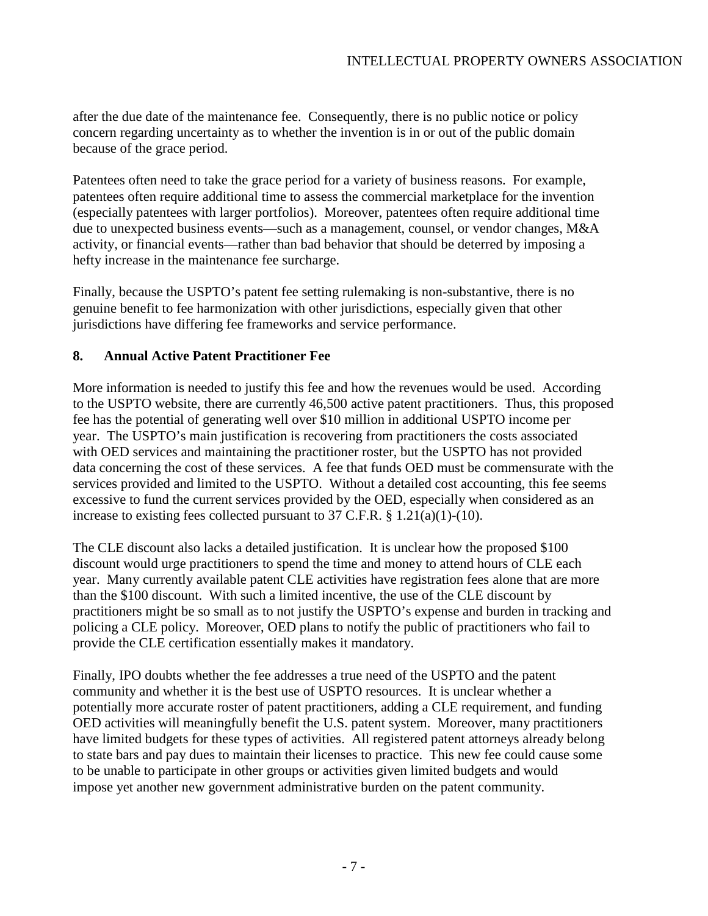after the due date of the maintenance fee. Consequently, there is no public notice or policy concern regarding uncertainty as to whether the invention is in or out of the public domain because of the grace period.

Patentees often need to take the grace period for a variety of business reasons. For example, patentees often require additional time to assess the commercial marketplace for the invention (especially patentees with larger portfolios). Moreover, patentees often require additional time due to unexpected business events—such as a management, counsel, or vendor changes, M&A activity, or financial events—rather than bad behavior that should be deterred by imposing a hefty increase in the maintenance fee surcharge.

Finally, because the USPTO's patent fee setting rulemaking is non-substantive, there is no genuine benefit to fee harmonization with other jurisdictions, especially given that other jurisdictions have differing fee frameworks and service performance.

# **8. Annual Active Patent Practitioner Fee**

More information is needed to justify this fee and how the revenues would be used. According to the USPTO website, there are currently 46,500 active patent practitioners. Thus, this proposed fee has the potential of generating well over \$10 million in additional USPTO income per year. The USPTO's main justification is recovering from practitioners the costs associated with OED services and maintaining the practitioner roster, but the USPTO has not provided data concerning the cost of these services. A fee that funds OED must be commensurate with the services provided and limited to the USPTO. Without a detailed cost accounting, this fee seems excessive to fund the current services provided by the OED, especially when considered as an increase to existing fees collected pursuant to  $37$  C.F.R. §  $1.21(a)(1)-(10)$ .

The CLE discount also lacks a detailed justification. It is unclear how the proposed \$100 discount would urge practitioners to spend the time and money to attend hours of CLE each year. Many currently available patent CLE activities have registration fees alone that are more than the \$100 discount. With such a limited incentive, the use of the CLE discount by practitioners might be so small as to not justify the USPTO's expense and burden in tracking and policing a CLE policy. Moreover, OED plans to notify the public of practitioners who fail to provide the CLE certification essentially makes it mandatory.

Finally, IPO doubts whether the fee addresses a true need of the USPTO and the patent community and whether it is the best use of USPTO resources. It is unclear whether a potentially more accurate roster of patent practitioners, adding a CLE requirement, and funding OED activities will meaningfully benefit the U.S. patent system. Moreover, many practitioners have limited budgets for these types of activities. All registered patent attorneys already belong to state bars and pay dues to maintain their licenses to practice. This new fee could cause some to be unable to participate in other groups or activities given limited budgets and would impose yet another new government administrative burden on the patent community.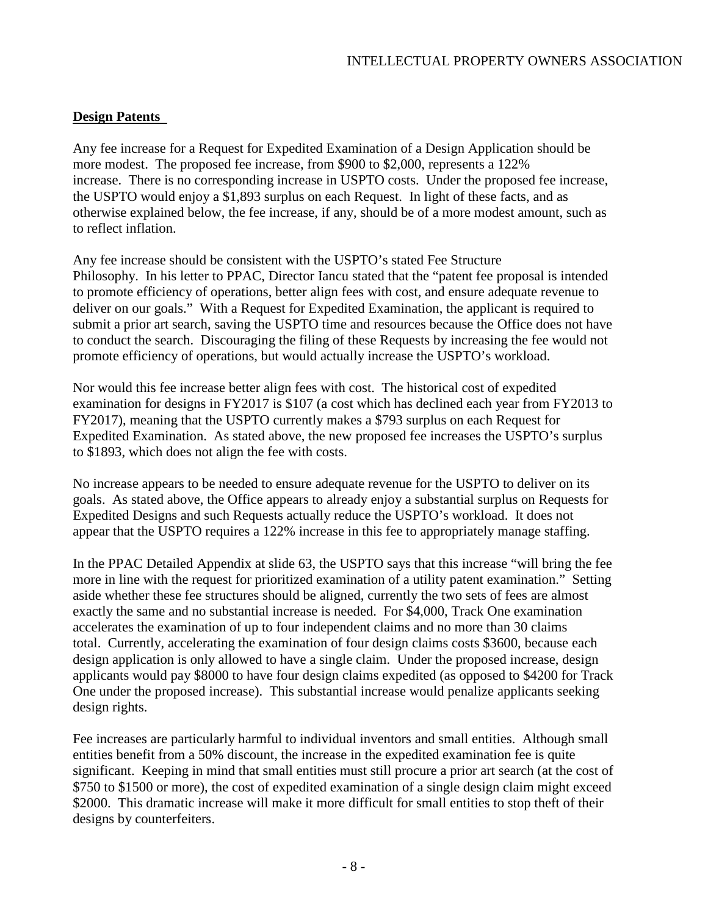### **Design Patents**

Any fee increase for a Request for Expedited Examination of a Design Application should be more modest. The proposed fee increase, from \$900 to \$2,000, represents a 122% increase. There is no corresponding increase in USPTO costs. Under the proposed fee increase, the USPTO would enjoy a \$1,893 surplus on each Request. In light of these facts, and as otherwise explained below, the fee increase, if any, should be of a more modest amount, such as to reflect inflation.

Any fee increase should be consistent with the USPTO's stated Fee Structure Philosophy. In his letter to PPAC, Director Iancu stated that the "patent fee proposal is intended to promote efficiency of operations, better align fees with cost, and ensure adequate revenue to deliver on our goals." With a Request for Expedited Examination, the applicant is required to submit a prior art search, saving the USPTO time and resources because the Office does not have to conduct the search. Discouraging the filing of these Requests by increasing the fee would not promote efficiency of operations, but would actually increase the USPTO's workload.

Nor would this fee increase better align fees with cost. The historical cost of expedited examination for designs in FY2017 is \$107 (a cost which has declined each year from FY2013 to FY2017), meaning that the USPTO currently makes a \$793 surplus on each Request for Expedited Examination. As stated above, the new proposed fee increases the USPTO's surplus to \$1893, which does not align the fee with costs.

No increase appears to be needed to ensure adequate revenue for the USPTO to deliver on its goals. As stated above, the Office appears to already enjoy a substantial surplus on Requests for Expedited Designs and such Requests actually reduce the USPTO's workload. It does not appear that the USPTO requires a 122% increase in this fee to appropriately manage staffing.

In the PPAC Detailed Appendix at slide 63, the USPTO says that this increase "will bring the fee more in line with the request for prioritized examination of a utility patent examination." Setting aside whether these fee structures should be aligned, currently the two sets of fees are almost exactly the same and no substantial increase is needed. For \$4,000, Track One examination accelerates the examination of up to four independent claims and no more than 30 claims total. Currently, accelerating the examination of four design claims costs \$3600, because each design application is only allowed to have a single claim. Under the proposed increase, design applicants would pay \$8000 to have four design claims expedited (as opposed to \$4200 for Track One under the proposed increase). This substantial increase would penalize applicants seeking design rights.

Fee increases are particularly harmful to individual inventors and small entities. Although small entities benefit from a 50% discount, the increase in the expedited examination fee is quite significant. Keeping in mind that small entities must still procure a prior art search (at the cost of \$750 to \$1500 or more), the cost of expedited examination of a single design claim might exceed \$2000. This dramatic increase will make it more difficult for small entities to stop theft of their designs by counterfeiters.